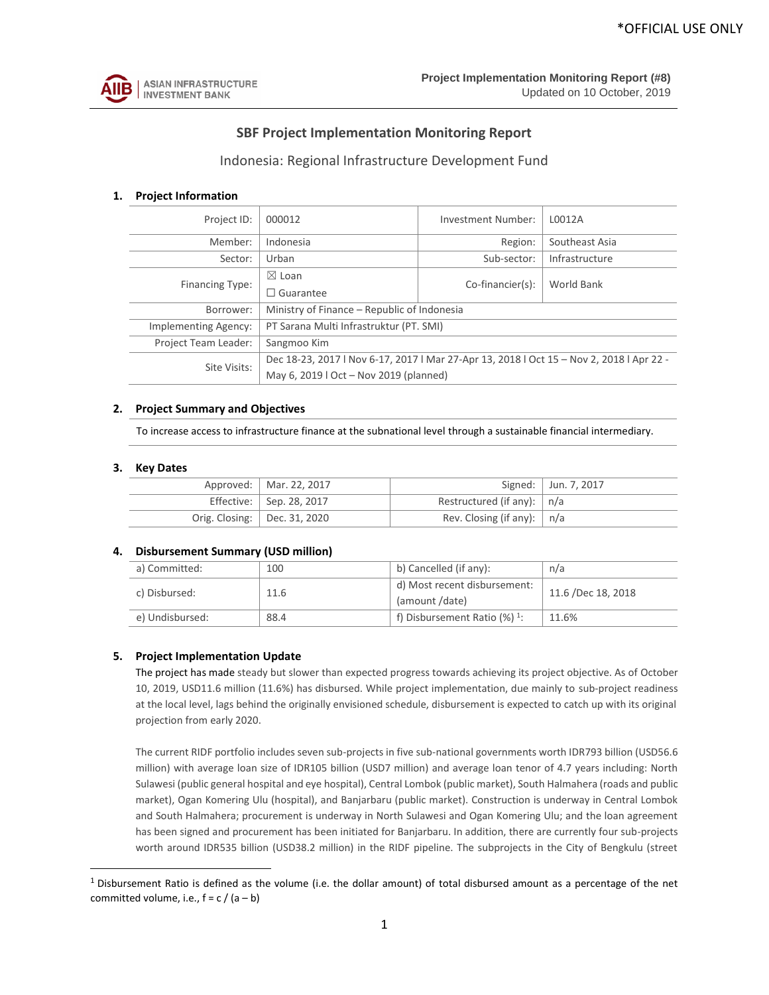

# **SBF Project Implementation Monitoring Report**

# Indonesia: Regional Infrastructure Development Fund

## **1. Project Information**

| Project ID:          | 000012                                                                                   | Investment Number:  | L0012A         |  |  |  |  |  |  |
|----------------------|------------------------------------------------------------------------------------------|---------------------|----------------|--|--|--|--|--|--|
| Member:              | Indonesia                                                                                | Region:             | Southeast Asia |  |  |  |  |  |  |
| Sector:              | Urban                                                                                    | Infrastructure      |                |  |  |  |  |  |  |
| Financing Type:      | $\boxtimes$ Loan                                                                         | $Co-financier(s)$ : | World Bank     |  |  |  |  |  |  |
|                      | Guarantee<br>L                                                                           |                     |                |  |  |  |  |  |  |
| Borrower:            | Ministry of Finance – Republic of Indonesia                                              |                     |                |  |  |  |  |  |  |
| Implementing Agency: | PT Sarana Multi Infrastruktur (PT. SMI)                                                  |                     |                |  |  |  |  |  |  |
| Project Team Leader: | Sangmoo Kim                                                                              |                     |                |  |  |  |  |  |  |
| Site Visits:         | Dec 18-23, 2017   Nov 6-17, 2017   Mar 27-Apr 13, 2018   Oct 15 - Nov 2, 2018   Apr 22 - |                     |                |  |  |  |  |  |  |
|                      | May 6, 2019   Oct - Nov 2019 (planned)                                                   |                     |                |  |  |  |  |  |  |

#### **2. Project Summary and Objectives**

To increase access to infrastructure finance at the subnational level through a sustainable financial intermediary.

#### **3. Key Dates**

 $\overline{\phantom{a}}$ 

| Approved:   Mar. 22, 2017        |                                | Signed:   Jun. 7, 2017 |
|----------------------------------|--------------------------------|------------------------|
| Effective: $\vert$ Sep. 28, 2017 | Restructured (if any): $ n/a$  |                        |
| Orig. Closing:   Dec. 31, 2020   | Rev. Closing (if any): $ n/a $ |                        |

#### **4. Disbursement Summary (USD million)**

| a) Committed:   | 100  | b) Cancelled (if any):                         | n/a                |  |  |
|-----------------|------|------------------------------------------------|--------------------|--|--|
| c) Disbursed:   | 11.6 | d) Most recent disbursement:<br>(amount /date) | 11.6 /Dec 18, 2018 |  |  |
| e) Undisbursed: | 88.4 | f) Disbursement Ratio $(\%)$ <sup>1</sup> :    | 11.6%              |  |  |

### **5. Project Implementation Update**

The project has made steady but slower than expected progress towards achieving its project objective. As of October 10, 2019, USD11.6 million (11.6%) has disbursed. While project implementation, due mainly to sub-project readiness at the local level, lags behind the originally envisioned schedule, disbursement is expected to catch up with its original projection from early 2020.

The current RIDF portfolio includes seven sub-projects in five sub-national governments worth IDR793 billion (USD56.6 million) with average loan size of IDR105 billion (USD7 million) and average loan tenor of 4.7 years including: North Sulawesi (public general hospital and eye hospital), Central Lombok (public market), South Halmahera (roads and public market), Ogan Komering Ulu (hospital), and Banjarbaru (public market). Construction is underway in Central Lombok and South Halmahera; procurement is underway in North Sulawesi and Ogan Komering Ulu; and the loan agreement has been signed and procurement has been initiated for Banjarbaru. In addition, there are currently four sub-projects worth around IDR535 billion (USD38.2 million) in the RIDF pipeline. The subprojects in the City of Bengkulu (street

 $1$  Disbursement Ratio is defined as the volume (i.e. the dollar amount) of total disbursed amount as a percentage of the net committed volume, i.e.,  $f = c / (a - b)$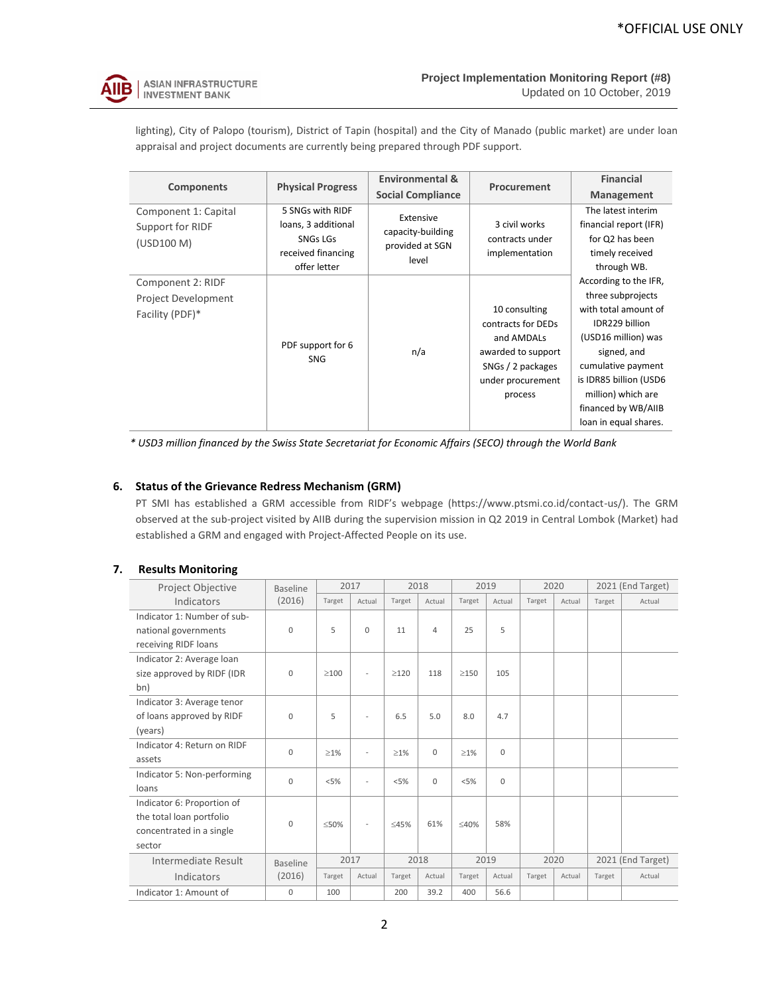

lighting), City of Palopo (tourism), District of Tapin (hospital) and the City of Manado (public market) are under loan appraisal and project documents are currently being prepared through PDF support.

| <b>Components</b>                                           | <b>Physical Progress</b>                                                         | <b>Environmental &amp;</b>                        | Procurement                                                                                                                  | <b>Financial</b>                                                                                                                                                                                                                                 |  |
|-------------------------------------------------------------|----------------------------------------------------------------------------------|---------------------------------------------------|------------------------------------------------------------------------------------------------------------------------------|--------------------------------------------------------------------------------------------------------------------------------------------------------------------------------------------------------------------------------------------------|--|
|                                                             |                                                                                  | <b>Social Compliance</b>                          |                                                                                                                              | Management                                                                                                                                                                                                                                       |  |
| Component 1: Capital<br>Support for RIDF<br>(USD100 M)      | 5 SNGs with RIDF<br>loans, 3 additional<br><b>SNGs LGs</b><br>received financing | Extensive<br>capacity-building<br>provided at SGN | 3 civil works<br>contracts under<br>implementation                                                                           | The latest interim<br>financial report (IFR)<br>for Q2 has been<br>timely received                                                                                                                                                               |  |
|                                                             | offer letter                                                                     | level                                             |                                                                                                                              | through WB.                                                                                                                                                                                                                                      |  |
| Component 2: RIDF<br>Project Development<br>Facility (PDF)* | PDF support for 6<br><b>SNG</b>                                                  | n/a                                               | 10 consulting<br>contracts for DEDs<br>and AMDALs<br>awarded to support<br>SNGs / 2 packages<br>under procurement<br>process | According to the IFR,<br>three subprojects<br>with total amount of<br>IDR229 billion<br>(USD16 million) was<br>signed, and<br>cumulative payment<br>is IDR85 billion (USD6<br>million) which are<br>financed by WB/AIIB<br>loan in equal shares. |  |

*\* USD3 million financed by the Swiss State Secretariat for Economic Affairs (SECO) through the World Bank*

## **6. Status of the Grievance Redress Mechanism (GRM)**

PT SMI has established a GRM accessible from RIDF's webpage (https://www.ptsmi.co.id/contact-us/). The GRM observed at the sub-project visited by AIIB during the supervision mission in Q2 2019 in Central Lombok (Market) had established a GRM and engaged with Project-Affected People on its use.

#### **7. Results Monitoring**

| Project Objective           | <b>Baseline</b> |             | 2017                        |           | 2018           |            | 2019        |        | 2020   |        | 2021 (End Target) |
|-----------------------------|-----------------|-------------|-----------------------------|-----------|----------------|------------|-------------|--------|--------|--------|-------------------|
| Indicators                  | (2016)          | Target      | Actual                      | Target    | Actual         | Target     | Actual      | Target | Actual | Target | Actual            |
| Indicator 1: Number of sub- |                 |             |                             |           |                |            |             |        |        |        |                   |
| national governments        | $\Omega$        | 5           | $\mathbf{0}$                | 11        | $\overline{4}$ | 25         | 5           |        |        |        |                   |
| receiving RIDF loans        |                 |             |                             |           |                |            |             |        |        |        |                   |
| Indicator 2: Average loan   |                 |             |                             |           |                |            |             |        |        |        |                   |
| size approved by RIDF (IDR  | $\Omega$        | $\geq$ 100  | $\overline{a}$              | >120      | 118            | $\geq$ 150 | 105         |        |        |        |                   |
| bn)                         |                 |             |                             |           |                |            |             |        |        |        |                   |
| Indicator 3: Average tenor  |                 |             |                             |           |                |            |             |        |        |        |                   |
| of loans approved by RIDF   | $\Omega$        | 5           |                             | 6.5       | 5.0            | 8.0        | 4.7         |        |        |        |                   |
| (years)                     |                 |             |                             |           |                |            |             |        |        |        |                   |
| Indicator 4: Return on RIDF | $\Omega$        |             | $\geq$ 1%<br>$\overline{a}$ | $\geq$ 1% | $\Omega$       | $\geq$ 1%  | $\Omega$    |        |        |        |                   |
| assets                      |                 |             |                             |           |                |            |             |        |        |        |                   |
| Indicator 5: Non-performing | $\Omega$        | < 5%        | $\overline{a}$              | < 5%      | $\Omega$       | < 5%       | $\mathbf 0$ |        |        |        |                   |
| loans                       |                 |             |                             |           |                |            |             |        |        |        |                   |
| Indicator 6: Proportion of  |                 |             |                             |           |                |            |             |        |        |        |                   |
| the total loan portfolio    | $\Omega$        | $\leq 50\%$ | $\overline{a}$              | ≤45%      | 61%            | ≤40%       | 58%         |        |        |        |                   |
| concentrated in a single    |                 |             |                             |           |                |            |             |        |        |        |                   |
| sector                      |                 |             |                             |           |                |            |             |        |        |        |                   |
| Intermediate Result         | <b>Baseline</b> |             | 2017                        |           | 2018           |            | 2019        |        | 2020   |        | 2021 (End Target) |
| Indicators                  | (2016)          | Target      | Actual                      | Target    | Actual         | Target     | Actual      | Target | Actual | Target | Actual            |
| Indicator 1: Amount of      | $\mathbf 0$     | 100         |                             | 200       | 39.2           | 400        | 56.6        |        |        |        |                   |